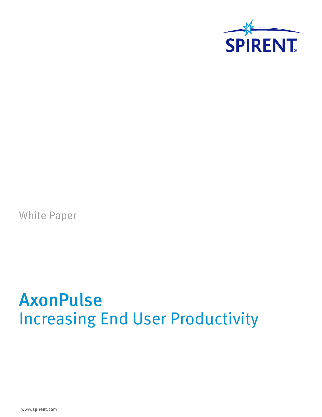

White Paper

# AxonPulse Increasing End User Productivity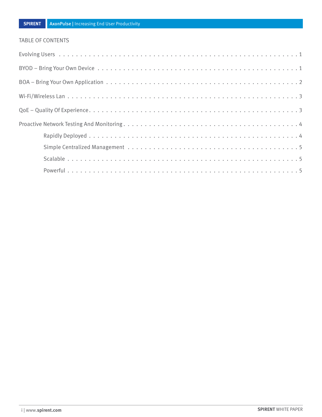#### TABLE OF CONTENTS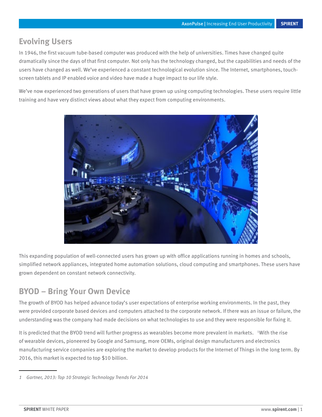## <span id="page-2-0"></span>**Evolving Users**

In 1946, the first vacuum tube-based computer was produced with the help of universities. Times have changed quite dramatically since the days of that first computer. Not only has the technology changed, but the capabilities and needs of the users have changed as well. We've experienced a constant technological evolution since. The Internet, smartphones, touchscreen tablets and IP enabled voice and video have made a huge impact to our life style.

We've now experienced two generations of users that have grown up using computing technologies. These users require little training and have very distinct views about what they expect from computing environments.



This expanding population of well-connected users has grown up with office applications running in homes and schools, simplified network appliances, integrated home automation solutions, cloud computing and smartphones. These users have grown dependent on constant network connectivity.

## **BYOD – Bring Your Own Device**

The growth of BYOD has helped advance today's user expectations of enterprise working environments. In the past, they were provided corporate based devices and computers attached to the corporate network. If there was an issue or failure, the understanding was the company had made decisions on what technologies to use and they were responsible for fixing it.

It is predicted that the BYOD trend will further progress as wearables become more prevalent in markets. I With the rise of wearable devices, pioneered by Google and Samsung, more OEMs, original design manufacturers and electronics manufacturing service companies are exploring the market to develop products for the Internet of Things in the long term. By 2016, this market is expected to top \$10 billion.

*<sup>1</sup> Gartner, 2013: Top 10 Strategic Technology Trends For 2014*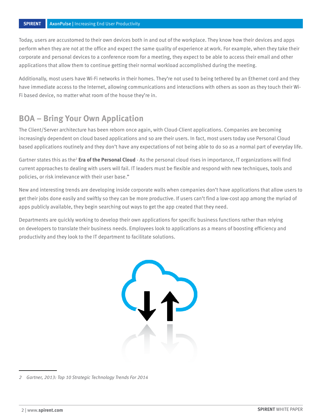<span id="page-3-0"></span>Today, users are accustomed to their own devices both in and out of the workplace. They know how their devices and apps perform when they are not at the office and expect the same quality of experience at work. For example, when they take their corporate and personal devices to a conference room for a meeting, they expect to be able to access their email and other applications that allow them to continue getting their normal workload accomplished during the meeting.

Additionally, most users have Wi-Fi networks in their homes. They're not used to being tethered by an Ethernet cord and they have immediate access to the Internet, allowing communications and interactions with others as soon as they touch their Wi-Fi based device, no matter what room of the house they're in.

## **BOA – Bring Your Own Application**

The Client/Server architecture has been reborn once again, with Cloud-Client applications. Companies are becoming increasingly dependent on cloud based applications and so are their users. In fact, most users today use Personal Cloud based applications routinely and they don't have any expectations of not being able to do so as a normal part of everyday life.

Gartner states this as the<sup>2</sup> **Era of the Personal Cloud** - As the personal cloud rises in importance, IT organizations will find current approaches to dealing with users will fail. IT leaders must be flexible and respond with new techniques, tools and policies, or risk irrelevance with their user base."

New and interesting trends are developing inside corporate walls when companies don't have applications that allow users to get their jobs done easily and swiftly so they can be more productive. If users can't find a low-cost app among the myriad of apps publicly available, they begin searching out ways to get the app created that they need.

Departments are quickly working to develop their own applications for specific business functions rather than relying on developers to translate their business needs. Employees look to applications as a means of boosting efficiency and productivity and they look to the IT department to facilitate solutions.



*<sup>2</sup> Gartner, 2013: Top 10 Strategic Technology Trends For 2014*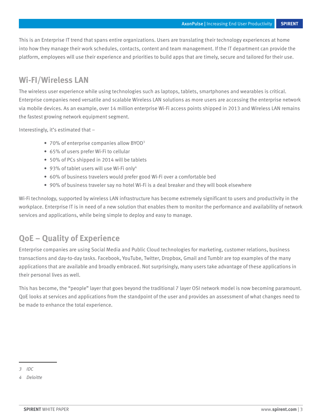<span id="page-4-0"></span>This is an Enterprise IT trend that spans entire organizations. Users are translating their technology experiences at home into how they manage their work schedules, contacts, content and team management. If the IT department can provide the platform, employees will use their experience and priorities to build apps that are timely, secure and tailored for their use.

### **Wi-FI/Wireless LAN**

The wireless user experience while using technologies such as laptops, tablets, smartphones and wearables is critical. Enterprise companies need versatile and scalable Wireless LAN solutions as more users are accessing the enterprise network via mobile devices. As an example, over 14 million enterprise Wi-Fi access points shipped in 2013 and Wireless LAN remains the fastest growing network equipment segment.

Interestingly, it's estimated that –

- 70% of enterprise companies allow BYOD<sup>3</sup>
- 65% of users prefer Wi-Fi to cellular
- 50% of PCs shipped in 2014 will be tablets
- 93% of tablet users will use Wi-Fi only<sup>4</sup>
- 60% of business travelers would prefer good Wi-Fi over a comfortable bed
- 90% of business traveler say no hotel Wi-Fi is a deal breaker and they will book elsewhere

Wi-Fi technology, supported by wireless LAN infrastructure has become extremely significant to users and productivity in the workplace. Enterprise IT is in need of a new solution that enables them to monitor the performance and availability of network services and applications, while being simple to deploy and easy to manage.

## **QoE – Quality of Experience**

Enterprise companies are using Social Media and Public Cloud technologies for marketing, customer relations, business transactions and day-to-day tasks. Facebook, YouTube, Twitter, Dropbox, Gmail and Tumblr are top examples of the many applications that are available and broadly embraced. Not surprisingly, many users take advantage of these applications in their personal lives as well.

This has become, the "people" layer that goes beyond the traditional 7 layer OSI network model is now becoming paramount. QoE looks at services and applications from the standpoint of the user and provides an assessment of what changes need to be made to enhance the total experience.

*<sup>3</sup> IDC*

*<sup>4</sup> Deloitte*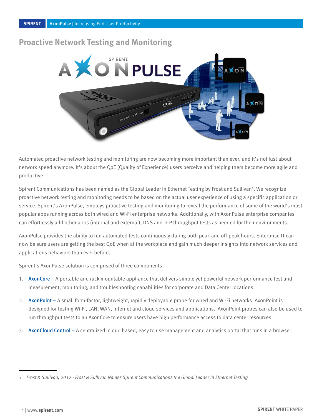#### <span id="page-5-0"></span>**Proactive Network Testing and Monitoring**



Automated proactive network testing and monitoring are now becoming more important than ever, and it's not just about network speed anymore. It's about the QoE (Quality of Experience) users perceive and helping them become more agile and productive.

Spirent Communications has been named as the Global Leader in Ethernet Testing by Frost and Sullivan<sup>5</sup>. We recognize proactive network testing and monitoring needs to be based on the actual user experience of using a specific application or service. Spirent's AxonPulse, employs proactive testing and monitoring to reveal the performance of some of the world's most popular apps running across both wired and Wi-Fi enterprise networks. Additionally, with AxonPulse enterprise companies can effortlessly add other apps (internal and external), DNS and TCP throughput tests as needed for their environments.

AxonPulse provides the ability to run automated tests continuously during both peak and off-peak hours. Enterprise IT can now be sure users are getting the best QoE when at the workplace and gain much deeper insights into network services and applications behaviors than ever before.

Spirent's AxonPulse solution is comprised of three components –

- 1. AxonCore A portable and rack mountable appliance that delivers simple yet powerful network performance test and measurement, monitoring, and troubleshooting capabilities for corporate and Data Center locations.
- 2. AxonPoint A small form-factor, lightweight, rapidly deployable probe for wired and Wi-Fi networks. AxonPoint is designed for testing Wi-Fi, LAN, WAN, Internet and cloud services and applications. AxonPoint probes can also be used to run throughput tests to an AxonCore to ensure users have high performance access to data center resources.
- 3. AxonCloud Control A centralized, cloud based, easy to use management and analytics portal that runs in a browser.

*<sup>5</sup> Frost & Sullivan, 2012 - Frost & Sullivan Names Spirent Communications the Global Leader in Ethernet Testing*